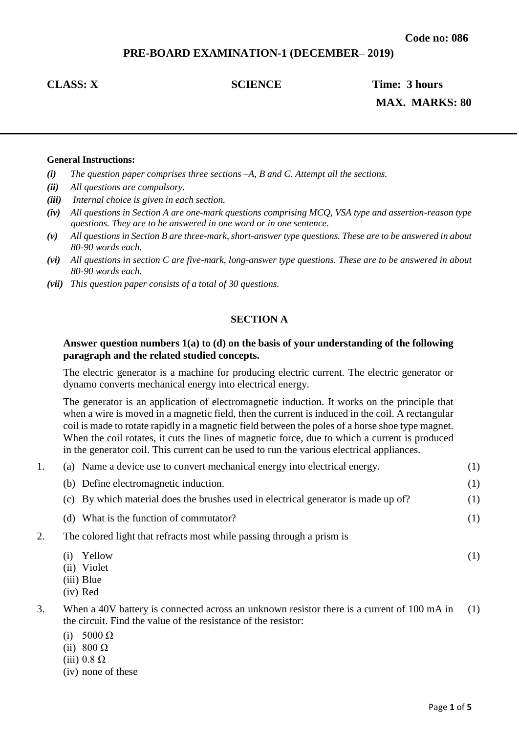# **PRE-BOARD EXAMINATION-1 (DECEMBER– 2019)**

**CLASS: X** SCIENCE Time: 3 hours **MAX. MARKS: 80**

### **General Instructions:**

- *(i) The question paper comprises three sections –A, B and C. Attempt all the sections.*
- *(ii) All questions are compulsory.*
- *(iii) Internal choice is given in each section.*
- *(iv) All questions in Section A are one-mark questions comprising MCQ, VSA type and assertion-reason type questions. They are to be answered in one word or in one sentence.*
- *(v) All questions in Section B are three-mark, short-answer type questions. These are to be answered in about 80-90 words each.*
- *(vi) All questions in section C are five-mark, long-answer type questions. These are to be answered in about 80-90 words each.*
- *(vii) This question paper consists of a total of 30 questions.*

## **SECTION A**

### **Answer question numbers 1(a) to (d) on the basis of your understanding of the following paragraph and the related studied concepts.**

The electric generator is a machine for producing electric current. The electric generator or dynamo converts mechanical energy into electrical energy.

The generator is an application of electromagnetic induction. It works on the principle that when a wire is moved in a magnetic field, then the current is induced in the coil. A rectangular coil is made to rotate rapidly in a magnetic field between the poles of a horse shoe type magnet. When the coil rotates, it cuts the lines of magnetic force, due to which a current is produced in the generator coil. This current can be used to run the various electrical appliances.

| 1. | (a) Name a device use to convert mechanical energy into electrical energy.                                                            | (1) |
|----|---------------------------------------------------------------------------------------------------------------------------------------|-----|
|    | (b) Define electromagnetic induction.                                                                                                 | (1) |
|    | (c) By which material does the brushes used in electrical generator is made up of?                                                    | (1) |
|    | (d) What is the function of commutator?                                                                                               | (1) |
| 2. | The colored light that refracts most while passing through a prism is                                                                 |     |
|    | Yellow<br>(1)<br>(ii) Violet<br>(iii) Blue<br>$(iv)$ Red                                                                              | (1) |
| 3. | When a 40V battery is connected across an unknown resistor there is a current of 100 mA in<br>$A \rightarrow B$ and $A \rightarrow B$ | (1) |

- the circuit. Find the value of the resistance of the resistor:
	- (i)  $5000 \Omega$
- (ii)  $800 \Omega$
- (iii) 0.8  $\Omega$
- (iv) none of these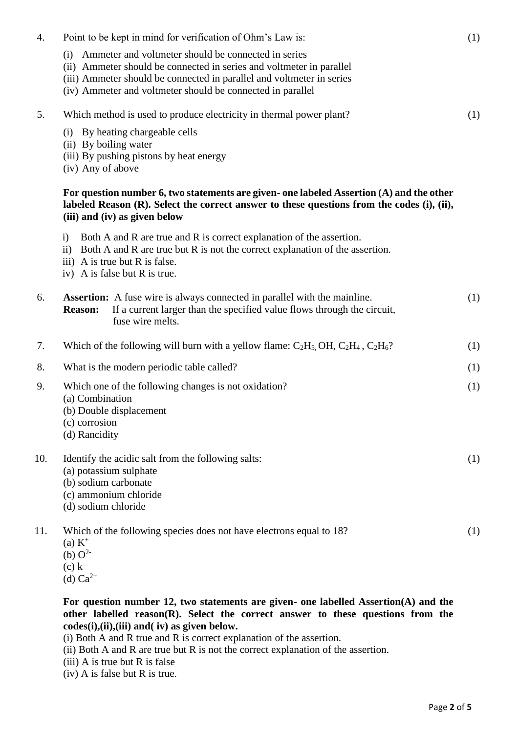| 4.  | Point to be kept in mind for verification of Ohm's Law is:                                                                                                                                                                                                                | (1) |
|-----|---------------------------------------------------------------------------------------------------------------------------------------------------------------------------------------------------------------------------------------------------------------------------|-----|
|     | Ammeter and voltmeter should be connected in series<br>(i)<br>(ii) Ammeter should be connected in series and voltmeter in parallel<br>(iii) Ammeter should be connected in parallel and voltmeter in series<br>(iv) Ammeter and voltmeter should be connected in parallel |     |
| 5.  | Which method is used to produce electricity in thermal power plant?                                                                                                                                                                                                       | (1) |
|     | (i) By heating chargeable cells<br>(ii) By boiling water<br>(iii) By pushing pistons by heat energy<br>(iv) Any of above                                                                                                                                                  |     |
|     | For question number 6, two statements are given- one labeled Assertion $(A)$ and the other<br>labeled Reason (R). Select the correct answer to these questions from the codes (i), (ii),<br>(iii) and (iv) as given below                                                 |     |
|     | Both A and R are true and R is correct explanation of the assertion.<br>i)<br>ii) Both A and R are true but R is not the correct explanation of the assertion.<br>iii) A is true but R is false.<br>iv) A is false but R is true.                                         |     |
| 6.  | <b>Assertion:</b> A fuse wire is always connected in parallel with the mainline.<br>If a current larger than the specified value flows through the circuit,<br><b>Reason:</b><br>fuse wire melts.                                                                         | (1) |
| 7.  | Which of the following will burn with a yellow flame: $C_2H_5$ , OH, $C_2H_4$ , $C_2H_6$ ?                                                                                                                                                                                | (1) |
| 8.  | What is the modern periodic table called?                                                                                                                                                                                                                                 | (1) |
| 9.  | Which one of the following changes is not oxidation?<br>(a) Combination<br>(b) Double displacement<br>(c) corrosion<br>(d) Rancidity                                                                                                                                      | (1) |
| 10. | Identify the acidic salt from the following salts:<br>(a) potassium sulphate<br>(b) sodium carbonate<br>(c) ammonium chloride<br>(d) sodium chloride                                                                                                                      | (1) |
| 11. | Which of the following species does not have electrons equal to 18?<br>$(a) K^+$<br>(b) $O^{2-}$<br>$(c)$ k<br>(d) $Ca^{2+}$                                                                                                                                              | (1) |

**For question number 12, two statements are given- one labelled Assertion(A) and the other labelled reason(R). Select the correct answer to these questions from the codes(i),(ii),(iii) and( iv) as given below.**

(i) Both A and R true and R is correct explanation of the assertion.

(ii) Both A and R are true but R is not the correct explanation of the assertion.

(iii) A is true but R is false

(iv) A is false but R is true.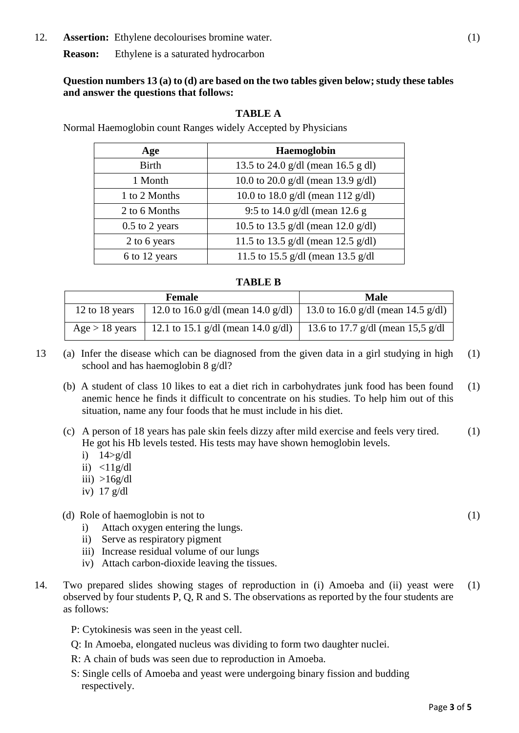12. **Assertion:** Ethylene decolourises bromine water. (1)

**Reason:** Ethylene is a saturated hydrocarbon

# **Question numbers 13 (a) to (d) are based on the two tables given below; study these tables and answer the questions that follows:**

# **TABLE A**

Normal Haemoglobin count Ranges widely Accepted by Physicians

| Age              | Haemoglobin                        |
|------------------|------------------------------------|
| <b>Birth</b>     | 13.5 to 24.0 g/dl (mean 16.5 g dl) |
| 1 Month          | 10.0 to 20.0 g/dl (mean 13.9 g/dl) |
| 1 to 2 Months    | 10.0 to 18.0 g/dl (mean 112 g/dl)  |
| 2 to 6 Months    | 9:5 to 14.0 g/dl (mean 12.6 g      |
| $0.5$ to 2 years | 10.5 to 13.5 g/dl (mean 12.0 g/dl) |
| 2 to 6 years     | 11.5 to 13.5 g/dl (mean 12.5 g/dl) |
| 6 to 12 years    | 11.5 to 15.5 g/dl (mean 13.5 g/dl  |

# **TABLE B**

|                  | <b>Female</b>                                                           | Male                              |
|------------------|-------------------------------------------------------------------------|-----------------------------------|
| 12 to 18 years   | 12.0 to 16.0 g/dl (mean 14.0 g/dl)   13.0 to 16.0 g/dl (mean 14.5 g/dl) |                                   |
| $Age > 18$ years | 12.1 to 15.1 g/dl (mean 14.0 g/dl)                                      | 13.6 to 17.7 g/dl (mean 15,5 g/dl |

13 (a) Infer the disease which can be diagnosed from the given data in a girl studying in high school and has haemoglobin 8 g/dl? (1)

- (b) A student of class 10 likes to eat a diet rich in carbohydrates junk food has been found anemic hence he finds it difficult to concentrate on his studies. To help him out of this situation, name any four foods that he must include in his diet. (1)
- (c) A person of 18 years has pale skin feels dizzy after mild exercise and feels very tired. He got his Hb levels tested. His tests may have shown hemoglobin levels. (1)
	- i) 14>g/dl
	- ii)  $\langle 11g/dl \rangle$
	- iii)  $>16g/dl$
	- iv) 17 g/dl

# (d) Role of haemoglobin is not to

- i) Attach oxygen entering the lungs.
- ii) Serve as respiratory pigment
- iii) Increase residual volume of our lungs
- iv) Attach carbon-dioxide leaving the tissues.
- 14. Two prepared slides showing stages of reproduction in (i) Amoeba and (ii) yeast were observed by four students P, Q, R and S. The observations as reported by the four students are as follows: (1)
	- P: Cytokinesis was seen in the yeast cell.
	- Q: In Amoeba, elongated nucleus was dividing to form two daughter nuclei.
	- R: A chain of buds was seen due to reproduction in Amoeba.
	- S: Single cells of Amoeba and yeast were undergoing binary fission and budding respectively.

(1)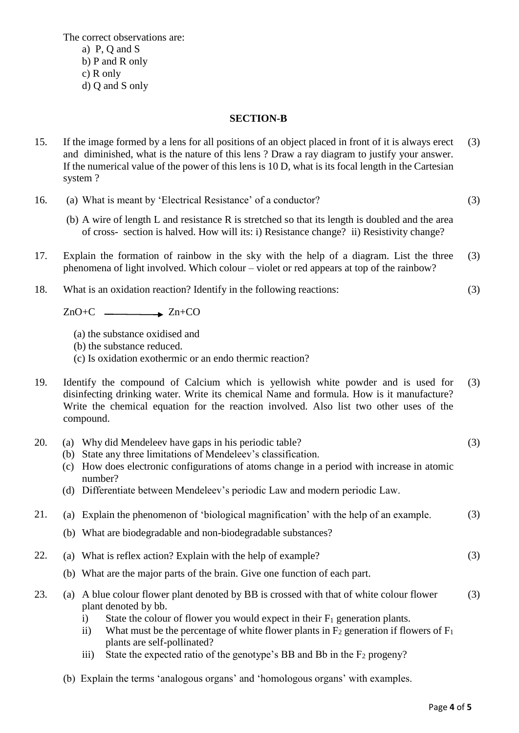The correct observations are: a) P, Q and S b) P and R only c) R only

d) Q and S only

# **SECTION-B**

- 15. If the image formed by a lens for all positions of an object placed in front of it is always erect and diminished, what is the nature of this lens ? Draw a ray diagram to justify your answer. If the numerical value of the power of this lens is 10 D, what is its focal length in the Cartesian system ? (3)
- 16. (a) What is meant by 'Electrical Resistance' of a conductor? (3)
	- (b) A wire of length L and resistance R is stretched so that its length is doubled and the area of cross- section is halved. How will its: i) Resistance change? ii) Resistivity change?
- 17. Explain the formation of rainbow in the sky with the help of a diagram. List the three phenomena of light involved. Which colour – violet or red appears at top of the rainbow? (3)
- 18. What is an oxidation reaction? Identify in the following reactions:

 $ZnO+C$   $\longrightarrow Zn+CO$ 

- (a) the substance oxidised and
- (b) the substance reduced.
- (c) Is oxidation exothermic or an endo thermic reaction?
- 19. Identify the compound of Calcium which is yellowish white powder and is used for disinfecting drinking water. Write its chemical Name and formula. How is it manufacture? Write the chemical equation for the reaction involved. Also list two other uses of the compound. (3)
- 20. (a) Why did Mendeleev have gaps in his periodic table? (3)
	- (b) State any three limitations of Mendeleev's classification.
	- (c) How does electronic configurations of atoms change in a period with increase in atomic number?
	- (d) Differentiate between Mendeleev's periodic Law and modern periodic Law.

|  |  |  |  | 21. (a) Explain the phenomenon of 'biological magnification' with the help of an example. | (3) |
|--|--|--|--|-------------------------------------------------------------------------------------------|-----|
|--|--|--|--|-------------------------------------------------------------------------------------------|-----|

- (b) What are biodegradable and non-biodegradable substances?
- 22. (a) What is reflex action? Explain with the help of example?
	- (b) What are the major parts of the brain. Give one function of each part.
- 23. (a) A blue colour flower plant denoted by BB is crossed with that of white colour flower plant denoted by bb. (3)
	- i) State the colour of flower you would expect in their  $F_1$  generation plants.
	- ii) What must be the percentage of white flower plants in  $F_2$  generation if flowers of  $F_1$ plants are self-pollinated?
	- iii) State the expected ratio of the genotype's BB and Bb in the  $F_2$  progeny?
	- (b) Explain the terms 'analogous organs' and 'homologous organs' with examples.

(3)

(3)